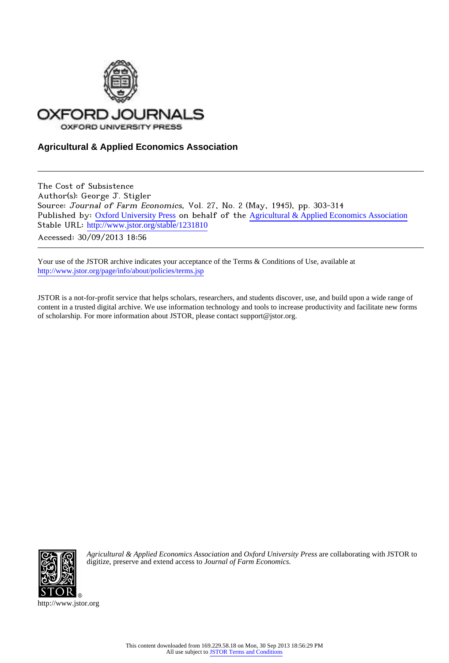

# **Agricultural & Applied Economics Association**

The Cost of Subsistence Author(s): George J. Stigler Source: Journal of Farm Economics, Vol. 27, No. 2 (May, 1945), pp. 303-314 Published by: [Oxford University Press](http://www.jstor.org/action/showPublisher?publisherCode=oup) on behalf of the [Agricultural & Applied Economics Association](http://www.jstor.org/action/showPublisher?publisherCode=aaea) Stable URL: [http://www.jstor.org/stable/1231810](http://www.jstor.org/stable/1231810?origin=JSTOR-pdf) Accessed: 30/09/2013 18:56

Your use of the JSTOR archive indicates your acceptance of the Terms & Conditions of Use, available at <http://www.jstor.org/page/info/about/policies/terms.jsp>

JSTOR is a not-for-profit service that helps scholars, researchers, and students discover, use, and build upon a wide range of content in a trusted digital archive. We use information technology and tools to increase productivity and facilitate new forms of scholarship. For more information about JSTOR, please contact support@jstor.org.



*Agricultural & Applied Economics Association* and *Oxford University Press* are collaborating with JSTOR to digitize, preserve and extend access to *Journal of Farm Economics.*

http://www.jstor.org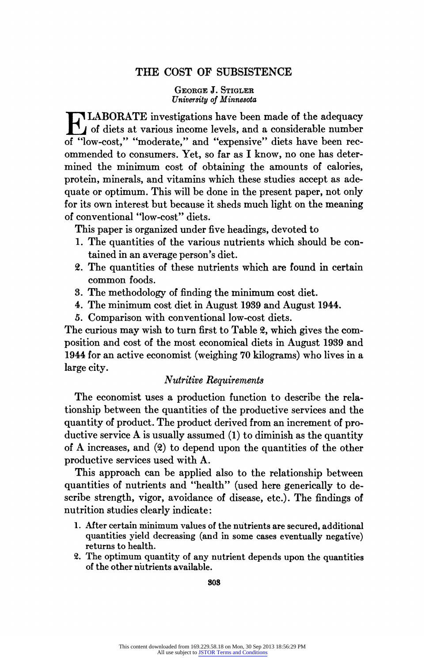# **THE COST OF SUBSISTENCE**

#### **GEORGE J. STIGLER University of Minnesota**

**LABORATE investigations have been made of the adequacy of diets at various income levels, and a considerable number of "low-cost," "moderate," and "expensive" diets have been recommended to consumers. Yet, so far as I know, no one has determined the minimum cost of obtaining the amounts of calories, protein, minerals, and vitamins which these studies accept as adequate or optimum. This will be done in the present paper, not only for its own interest but because it sheds much light on the meaning of conventional "low-cost" diets.** 

**This paper is organized under five headings, devoted to** 

- **1. The quantities of the various nutrients which should be contained in an average person's diet.**
- **2. The quantities of these nutrients which are found in certain common foods.**
- **3. The methodology of finding the minimum cost diet.**
- **4. The minimum cost diet in August 1939 and August 1944.**
- **5. Comparison with conventional low-cost diets.**

**The curious may wish to turn first to Table 2, which gives the composition and cost of the most economical diets in August 1939 and 1944 for an active economist (weighing 70 kilograms) who lives in a large city.** 

# **Nutritive Requirements**

**The economist uses a production function to describe the relationship between the quantities of the productive services and the quantity of product. The product derived from an increment of productive service A is usually assumed (1) to diminish as the quantity of A increases, and (2) to depend upon the quantities of the other productive services used with A.** 

**This approach can be applied also to the relationship between quantities of nutrients and "health" (used here generically to describe strength, vigor, avoidance of disease, etc.). The findings of nutrition studies clearly indicate:** 

- **1. After certain minimum values of the nutrients are secured, additional quantities yield decreasing (and in some cases eventually negative) returns to health.**
- **2. The optimum quantity of any nutrient depends upon the quantities of the other nutrients available.**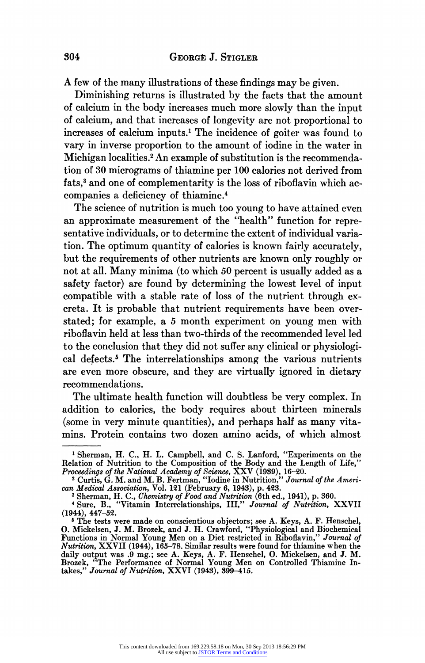**A few of the many illustrations of these findings may be given.** 

**Diminishing returns is illustrated by the facts that the amount of calcium in the body increases much more slowly than the input of calcium, and that increases of longevity are not proportional to increases of calcium inputs.' The incidence of goiter was found to vary in inverse proportion to the amount of iodine in the water in Michigan localities.2 An example of substitution is the recommendation of 30 micrograms of thiamine per 100 calories not derived from**  fats,<sup>3</sup> and one of complementarity is the loss of riboflavin which ac**companies a deficiency of thiamine.4** 

**The science of nutrition is much too young to have attained even an approximate measurement of the "health" function for representative individuals, or to determine the extent of individual variation. The optimum quantity of calories is known fairly accurately, but the requirements of other nutrients are known only roughly or not at all. Many minima (to which 50 percent is usually added as a safety factor) are found by determining the lowest level of input compatible with a stable rate of loss of the nutrient through excreta. It is probable that nutrient requirements have been overstated; for example, a 5 month experiment on young men with riboflavin held at less than two-thirds of the recommended level led to the conclusion that they did not suffer any clinical or physiological defects.5 The interrelationships among the various nutrients are even more obscure, and they are virtually ignored in dietary recommendations.** 

**The ultimate health function will doubtless be very complex. In addition to calories, the body requires about thirteen minerals (some in very minute quantities), and perhaps half as many vitamins. Protein contains two dozen amino acids, of which almost** 

**<sup>1</sup> Sherman, H. C., H. L. Campbell, and C. S. Lanford, "Experiments on the Relation of Nutrition to the Composition of the Body and the Length of Life,"** 

Proceedings of the National Academy of Science, XXV (1939), 16–20.<br>
<sup>2</sup> Curtis, G. M. and M. B. Fertman, "Iodine in Nutrition," Journal of the American Medical Association, Vol. 121 (February 6, 1943), p. 423.<br>
<sup>2</sup> Sherma

**<sup>(1944), 447-52.</sup>** 

**<sup>6</sup> The tests were made on conscientious objectors; see A. Keys, A. F. Henschel, O. Mickelsen, J. M. Brozek, and J. H. Crawford, "Physiological and Biochemical Functions in Normal Young Men on a Diet restricted in Riboflavin," Journal of Nutrition, XXVII (1944), 165-78. Similar results were found for thiamine when the daily output was .9 mg.; see A. Keys, A. F. Henschel, O. Mickelsen, and J. M. Brozek, "The Performance of Normal Young Men on Controlled Thiamine In-takes," Journal of Nutrition, XXVI (1943), 399-415.**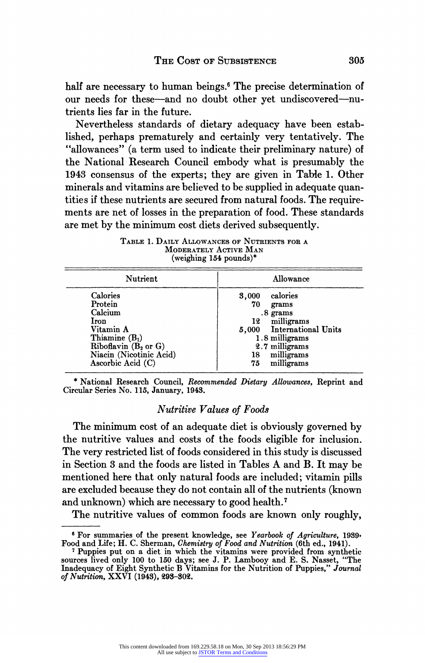**half are necessary to human beings.6 The precise determination of our needs for these-and no doubt other yet undiscovered-nutrients lies far in the future.** 

**Nevertheless standards of dietary adequacy have been established, perhaps prematurely and certainly very tentatively. The "allowances" (a term used to indicate their preliminary nature) of the National Research Council embody what is presumably the 1943 consensus of the experts; they are given in Table 1. Other minerals and vitamins are believed to be supplied in adequate quantities if these nutrients are secured from natural foods. The requirements are net of losses in the preparation of food. These standards are met by the minimum cost diets derived subsequently.** 

**TABLE 1. DAILY ALLOWANCES OF NUTRIENTS FOR A MODERATELY ACTIVE MAN (weighing 154 pounds)\*** 

| Nutrient                                                                                                                                                    | Allowance                                                                                                                                                                   |
|-------------------------------------------------------------------------------------------------------------------------------------------------------------|-----------------------------------------------------------------------------------------------------------------------------------------------------------------------------|
| Calories<br>Protein<br>Calcium<br>Iron<br>Vitamin A<br>Thiamine $(B_1)$<br>Riboflavin $(B_2 \text{ or } G)$<br>Niacin (Nicotinic Acid)<br>Ascorbic Acid (C) | calories<br>3,000<br>70<br>grams<br>.8 grams<br>milligrams<br>12<br>5,000 International Units<br>1.8 milligrams<br>2.7 milligrams<br>milligrams<br>18 -<br>milligrams<br>75 |

**\* National Research Council, Recommended Dietary Allowances, Reprint and Circular Series No. 115, January, 1943.** 

#### **Nutritive Values of Foods**

**The minimum cost of an adequate diet is obviously governed by the nutritive values and costs of the foods eligible for inclusion. The very restricted list of foods considered in this study is discussed in Section 3 and the foods are listed in Tables A and B. It may be mentioned here that only natural foods are included; vitamin pills are excluded because they do not contain all of the nutrients (known and unknown) which are necessary to good health.7** 

**The nutritive values of common foods are known only roughly,** 

**<sup>6</sup> For summaries of the present knowledge, see Yearbook of Agriculture, 1939, Food and Life; H. C. Sherman, Chemistry of Food and Nutrition (6th ed., 1941). 7 Puppies put on a diet in which the vitamins were provided from synthetic** 

**sources lived only 100 to 150 days; see J. P. Lambooy and E. S. Nasset, "The Inadequacy of Eight Synthetic B Vitamins for the Nutrition of Puppies," Journal of Nutrition, XXVI (1943), 293-302.**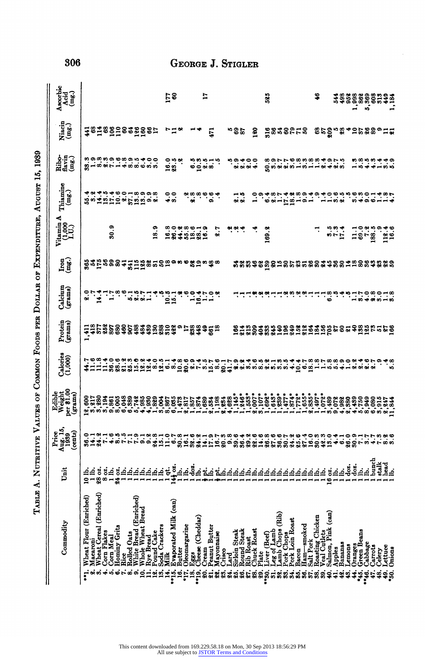| ֖֖֖֖֖֖֖֖֧ׅ֖ׅ֖ׅ֪֪ׅ֖֧֪֪ׅ֪֪֪֪֪ׅ֖֚֚֚֚֚֚֚֚֚֚֚֚֚֚֚֚֚֚֚֚֚֚֬֝֝֓֞֓֞֬ |
|-------------------------------------------------------------|
|                                                             |
|                                                             |
|                                                             |
|                                                             |
| -<br>-<br>-                                                 |
|                                                             |
|                                                             |
|                                                             |
|                                                             |
|                                                             |
|                                                             |
| י<br>ו                                                      |
|                                                             |
|                                                             |

| Assorbic<br>Acid<br>$(\text{mg.})$                                           |                                                                                                                                                                                                                                  | 82<br>ቯ                                                                                                                               | 525                                                                                                                                                                                                                  | S<br>133888888745                                                                                                                                                    |
|------------------------------------------------------------------------------|----------------------------------------------------------------------------------------------------------------------------------------------------------------------------------------------------------------------------------|---------------------------------------------------------------------------------------------------------------------------------------|----------------------------------------------------------------------------------------------------------------------------------------------------------------------------------------------------------------------|----------------------------------------------------------------------------------------------------------------------------------------------------------------------|
| $N$ iacin $(\text{mg.})$                                                     | 18188288885                                                                                                                                                                                                                      | 51                                                                                                                                    | ఇఇ౻<br>8                                                                                                                                                                                                             | Essests ergestersselle                                                                                                                                               |
| Ribo-<br>flavin<br>(mg.)                                                     | compostrativo composto<br>compostrativo composto                                                                                                                                                                                 | ೦.೨೫<br>೧೯೫                                                                                                                           | ****                                                                                                                                                                                                                 | nannana<br>Haddhan                                                                                                                                                   |
| $\begin{array}{c} \mathrm{This}\,\mathrm{mine}\\ (\mathrm{mg.}) \end{array}$ |                                                                                                                                                                                                                                  | $\frac{2}{10}$<br>نو مغنی په                                                                                                          | ە ج<br>مە                                                                                                                                                                                                            | 。その74%894940653980148748 - 118111 - 111000 - 111000 - 111000 - 111000                                                                                                |
| $V$ itamin A<br>$\frac{(1,000)}{1.01}$                                       | 30.9<br>18.9                                                                                                                                                                                                                     | 80.8890.19<br>8848289<br>2.7                                                                                                          | 169.2                                                                                                                                                                                                                | 5.504<br>$13.383$<br>$13.383$<br>$13.4$<br>$15.3$                                                                                                                    |
| $I_{\text{cm}}$                                                              | 88508884508858898889889                                                                                                                                                                                                          |                                                                                                                                       |                                                                                                                                                                                                                      | ****************************                                                                                                                                         |
| Calcium<br>(grams)                                                           | 9.74                                                                                                                                                                                                                             |                                                                                                                                       |                                                                                                                                                                                                                      |                                                                                                                                                                      |
| Protein<br>(grams)                                                           | 1.<br>118588885838888381.<br>11858888583888883                                                                                                                                                                                   |                                                                                                                                       |                                                                                                                                                                                                                      | 81882838345838355555688355555                                                                                                                                        |
| $\frac{\text{Calories}}{\text{(1,000)}}$                                     |                                                                                                                                                                                                                                  |                                                                                                                                       |                                                                                                                                                                                                                      |                                                                                                                                                                      |
| Edible<br>Weight<br>per \$1.00<br>(grams)                                    | ල ගෙන ග ග ග ග ග                                                                                                                                                                                                                  |                                                                                                                                       | <u>e Ergans Sagars segar Ergens segarage i sösere segare er eget sösere segare segare i s</u>                                                                                                                        |                                                                                                                                                                      |
| Price<br>Aug. 15,<br>1989<br>(cents)                                         |                                                                                                                                                                                                                                  |                                                                                                                                       | の「ぷ」でもさ」な」をいしいですのであります。そのももなりものからでもありのとどももののでさせてきる。これは、そのでですからのことのので、それはこのでもからでもないかのでもないかのかもあるのでももので<br>おんぷでもらくているのはこれにものです。それはこのものでもないのでもないです。                                                                      |                                                                                                                                                                      |
| j                                                                            |                                                                                                                                                                                                                                  |                                                                                                                                       |                                                                                                                                                                                                                      |                                                                                                                                                                      |
| Commodity                                                                    | Wheat Cereal (Enriched)<br>Corn Flakes<br>Corn Meal<br>Hominy Grits<br>Rolled Oats<br>White Bread (Enriched)<br>Wheat Flour (Enriched)<br>Whole Wheat Bread<br>Pound Cake<br>Soda Crackers<br>lye Bread<br>Macarony<br>Rice<br>E | Evaporated Milk (can)<br>Butter<br>Oleomargarine<br>Eggs<br>Cheese (Cheddar)<br>eanut Butter<br>Aayonnaise<br>Cream<br>Crisco<br>kilk | Leg of Lamb<br>Lamb Chops (Rib)<br>Pork Chops<br>Pork Loin Roast<br><b>Tam-smoked</b><br>Lard<br>Sirloin Steak<br>Round Steak<br>Rib Roast<br>Chuck Roast<br>iver (Beef)<br><b>Salt Pork</b><br><b>Scon</b><br>Plate | Salmon, Pink (can)<br>Roasting Chicken<br>Veal Cutlets<br>Oranges<br>Green Beans<br>Cabbage<br>Carrots<br>Celery<br>Lettuce<br>Onions<br>Bananas<br>Lemons<br>Apples |

306

# **GEORGE J. STIGLER** GEORGE **J. STIGLER**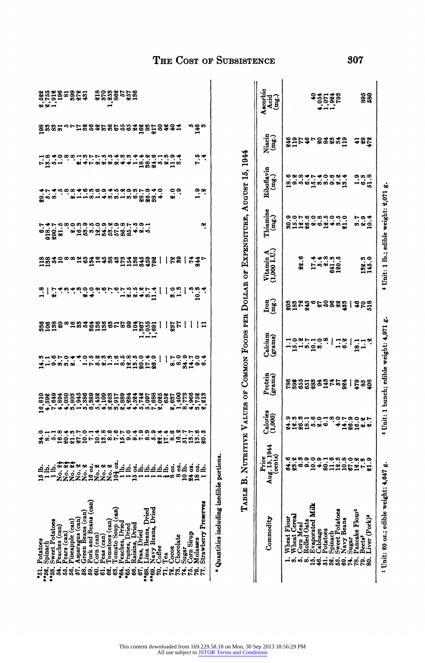| <b>22222323</b><br>22223323<br>ឌីនីឌីឌីឌីឌី                                                                                                                                                                                                                                                                                                                                                                                                                                                                                                                                                       | Ascorbic<br>Acid<br>(mg.)                                                                            | $-22222$                                                                                                                                                                  | 38                               |
|---------------------------------------------------------------------------------------------------------------------------------------------------------------------------------------------------------------------------------------------------------------------------------------------------------------------------------------------------------------------------------------------------------------------------------------------------------------------------------------------------------------------------------------------------------------------------------------------------|------------------------------------------------------------------------------------------------------|---------------------------------------------------------------------------------------------------------------------------------------------------------------------------|----------------------------------|
| さいなのはののからのおい いいのかいだい<br>"န္မွဳ"<br><b>gees</b>                                                                                                                                                                                                                                                                                                                                                                                                                                                                                                                                                    | $\overset{\text{Niacin}}{(\text{mg.})}$                                                              | <b>SHEALSSESH</b>                                                                                                                                                         | 185                              |
| 7.5                                                                                                                                                                                                                                                                                                                                                                                                                                                                                                                                                                                               |                                                                                                      |                                                                                                                                                                           | တက္တ                             |
| ం<br>بەت<br>œ<br>$\ddot{\mathbf{a}}$ is a                                                                                                                                                                                                                                                                                                                                                                                                                                                                                                                                                         | $\begin{array}{c} \mathrm{Ribofa} \mathrm{vir} \\ (\mathrm{mg.}) \end{array}$                        |                                                                                                                                                                           | −∽ສ                              |
| e.                                                                                                                                                                                                                                                                                                                                                                                                                                                                                                                                                                                                | Thiamine<br>(mg.)                                                                                    |                                                                                                                                                                           | 5.04                             |
|                                                                                                                                                                                                                                                                                                                                                                                                                                                                                                                                                                                                   | Vitamin $\Lambda$<br>(1,000 I.U.)                                                                    | فنفغض<br>۰<br>$\begin{array}{r} 17.4 \\ 5.4 \\ 641.7 \\ 641.7 \end{array}$<br>S                                                                                           | 132.3<br>145.0                   |
| $\frac{3.9}{2.7}$<br>$\frac{10.3}{2}$<br>$\ddot{ }$ .3<br>$\frac{1}{2}$ $\frac{1}{2}$                                                                                                                                                                                                                                                                                                                                                                                                                                                                                                             | $I_{\text{imp}}$                                                                                     | ខ្លួន្ទដុទ្ធ ឧននន្ទ្ទ   ទុខក្ល                                                                                                                                            |                                  |
| ssags = sa spage = sa spage  <br>$ \frac{5}{8} $    =                                                                                                                                                                                                                                                                                                                                                                                                                                                                                                                                             | B. NUTRITIVE VALUES OF COMMON FOODS PER DOLLAR OF EXPENDITURE, AUGUST 15, 1944<br>Calcium<br>(grams) |                                                                                                                                                                           | $3.1$<br>$3.1$<br>$3.1$          |
| は107044052330585040 1<br>$\frac{1}{8}$ $\frac{3}{8}$ $\frac{3}{8}$ $\frac{1}{2}$ $\frac{3}{8}$ $\frac{3}{8}$ $\frac{1}{2}$ $\frac{3}{8}$ $\frac{3}{8}$ $\frac{1}{2}$ $\frac{3}{8}$ $\frac{3}{8}$ $\frac{1}{2}$ $\frac{3}{8}$ $\frac{3}{8}$ $\frac{1}{2}$ $\frac{3}{8}$ $\frac{3}{8}$ $\frac{1}{2}$ $\frac{3}{8}$ $\frac{3}{8}$ $\frac{3}{8}$                                                                                                                                                                                                                                                      | Protein<br>(grams)                                                                                   |                                                                                                                                                                           |                                  |
| <u>មិន្ទ័ន្ទន្ទ័ន្ទ័ន្ធន័ន្ធន័ន្ធដូចន្ទ័ន្ទន្ទ័ន្ទន្ទ័ន្ទ័ន្ទន្ទ័ន្ទដូចន</u><br>$0.41.440.1000440004440018$<br>$\alpha$ - $\alpha$ - $\alpha$ or                                                                                                                                                                                                                                                                                                                                                                                                                                                  | Calories<br>(1,000)                                                                                  | みはおぼさえも、4482222                                                                                                                                                           |                                  |
|                                                                                                                                                                                                                                                                                                                                                                                                                                                                                                                                                                                                   |                                                                                                      |                                                                                                                                                                           |                                  |
| portions                                                                                                                                                                                                                                                                                                                                                                                                                                                                                                                                                                                          | Price<br>Aug. 15, 1944<br>(cents)                                                                    | 88.89.95.48125525.45                                                                                                                                                      |                                  |
| Quantities including inedible<br>Fineapple (can)<br>Asparagus (can)<br>Green Beans (can)<br>Core dens (can)<br>Corn (can)<br>Peas (can)<br>Peas (can)<br>trawberry Preserves<br>, Tomatoes (can)<br>1 Domies, Soup (can)<br>1 Punnes, Dried<br>1 Punnes, Dried<br>1 Peas, Dried<br>1 Lima Beans, Dried<br>1 Lima Beans, Dried<br>1 Coffee Beans, Dried<br>Spinach<br>Sweet Potatoes<br>Peaches (can)<br>Pears (can)<br>Sugar<br>Corn Sirup<br>Cocoa<br>Chocolate<br>Molasses<br>Potatoes<br>Spinach<br>Sweet Po<br>å<br>ÜΩ.<br>្នំ ៖<br>កុំនិងខ្លួនខ្លួនខ្លួនខ្ញុំនិងខ្ញុំនិន្ទន៍ទីទី ដែលប្ដូន៩ ដ | <b>Тавье</b><br>Commodity                                                                            | When Flour<br>Cheat Certain<br>1. Noted Oats<br>1. Noted Oats<br>1. Notates<br>1. Notates<br>1. Notates<br>1. Narota Flour-1.<br>1. Narota Flour-1.<br>1. Narota Flour-1. | $(Pork)^*$<br>Beets <sup>2</sup> |

# $\textbf{H} \times \textbf{C}$  **COST OF SUBSIS**

**9.6 138 2.7 54 2,90.7 8.4 5.4 83 1, 912 307** 2007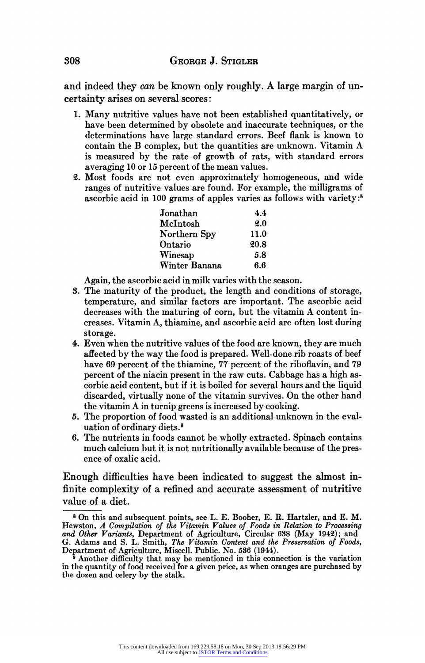**and indeed they can be known only roughly. A large margin of uncertainty arises on several scores:** 

- **1. Many nutritive values have not been established quantitatively, or have been determined by obsolete and inaccurate techniques, or the determinations have large standard errors. Beef flank is known to contain the B complex, but the quantities are unknown. Vitamin A is measured by the rate of growth of rats, with standard errors averaging 10 or 15 percent of the mean values.**
- **2. Most foods are not even approximately homogeneous, and wide ranges of nutritive values are found. For example, the milligrams of ascorbic acid in 100 grams of apples varies as follows with variety:8**

| Jonathan      | 4.4  |
|---------------|------|
| McIntosh      | 2.0  |
| Northern Spy  | 11.0 |
| Ontario       | 20.8 |
| Winesap       | 5.8  |
| Winter Banana | 6.6  |

**Again, the ascorbic acid in milk varies with the season.** 

- **3. The maturity of the product, the length and conditions of storage, temperature, and similar factors are important. The ascorbic acid decreases with the maturing of corn, but the vitamin A content increases. Vitamin A, thiamine, and ascorbic acid are often lost during storage.**
- **4. Even when the nutritive values of the food are known, they are much affected by the way the food is prepared. Well-done rib roasts of beef have 69 percent of the thiamine, 77 percent of the riboflavin, and 79 percent of the niacin present in the raw cuts. Cabbage has a high ascorbic acid content, but if it is boiled for several hours and the liquid discarded, virtually none of the vitamin survives. On the other hand the vitamin A in turnip greens is increased by cooking.**
- **5. The proportion of food wasted is an additional unknown in the evaluation of ordinary diets.9**
- **6. The nutrients in foods cannot be wholly extracted. Spinach contains much calcium but it is not nutritionally available because of the presence of oxalic acid.**

**Enough difficulties have been indicated to suggest the almost infinite complexity of a refined and accurate assessment of nutritive value of a diet.** 

<sup>&</sup>lt;sup>8</sup> On this and subsequent points, see L. E. Booher, E. R. Hartzler, and E. M. Hewston, A Compilation of the Vitamin Values of Foods in Relation to Processing and Other Variants, Department of Agriculture, Circular 638 (Ma

Department of Agriculture, Miscell. Public. No. 536 (1944).<br><sup>9</sup> Another difficulty that may be mentioned in this connection is the variation<br>in the quantity of food received for a given price, as when oranges are purchased **the dozen and celery by the stalk.**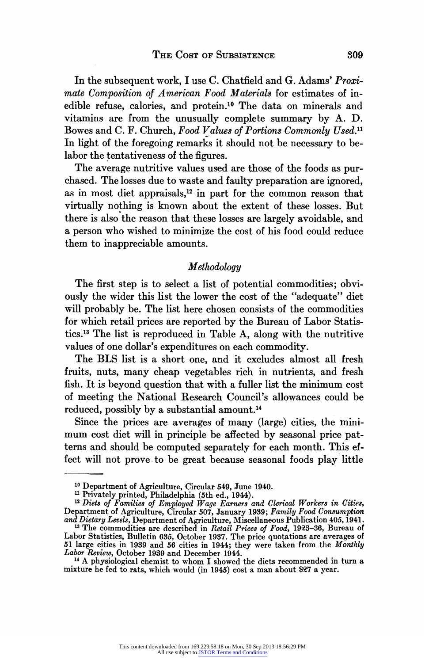**In the subsequent work, I use C. Chatfield and G. Adams' Proximate Composition of American Food Materials for estimates of inedible refuse, calories, and protein.10 The data on minerals and vitamins are from the unusually complete summary by A. D. Bowes and C. F. Church, Food Values of Portions Commonly Used." In light of the foregoing remarks it should not be necessary to belabor the tentativeness of the figures.** 

**The average nutritive values used are those of the foods as purchased. The losses due to waste and faulty preparation are ignored,**  as in most diet appraisals,<sup>12</sup> in part for the common reason that **virtually nothing is known about the extent of these losses. But there is also the reason that these losses are largely avoidable, and a person who wished to minimize the cost of his food could reduce them to inappreciable amounts.** 

#### **Methodology**

**The first step is to select a list of potential commodities; obviously the wider this list the lower the cost of the "adequate" diet will probably be. The list here chosen consists of the commodities for which retail prices are reported by the Bureau of Labor Statistics.l3 The list is reproduced in Table A, along with the nutritive values of one dollar's expenditures on each commodity.** 

**The BLS list is a short one, and it excludes almost all fresh fruits, nuts, many cheap vegetables rich in nutrients, and fresh fish. It is beyond question that with a fuller list the minimum cost of meeting the National Research Council's allowances could be reduced, possibly by a substantial amount.14** 

**Since the prices are averages of many (large) cities, the minimum cost diet will in principle be affected by seasonal price patterns and should be computed separately for each month. This effect will not prove to be great because seasonal foods play little** 

**<sup>10</sup> Department of Agriculture, Circular 549, June 1940.** 

<sup>&</sup>lt;sup>11</sup> Privately printed, Philadelphia (5th ed., 1944).<br><sup>12</sup> Diets of Families of Employed Wage Earners and Clerical Workers in Cities,<br>Department of Agriculture, Circular 507, January 1939; Family Food Consumption<br>and Diet

<sup>&</sup>lt;sup>13</sup> The commodities are described in Retail Prices of Food, 1923-36, Bureau of Labor Statistics, Bulletin 635, October 1937. The price quotations are averages of **51 large cities in 1939 and 56 cities in 1944; they were taken from the Monthly Labor Review, October 1939 and December 1944.** 

**<sup>14</sup>A physiological chemist to whom I showed the diets recommended in turn a mixture he fed to rats, which would (in 1945) cost a man about \$27 a year.**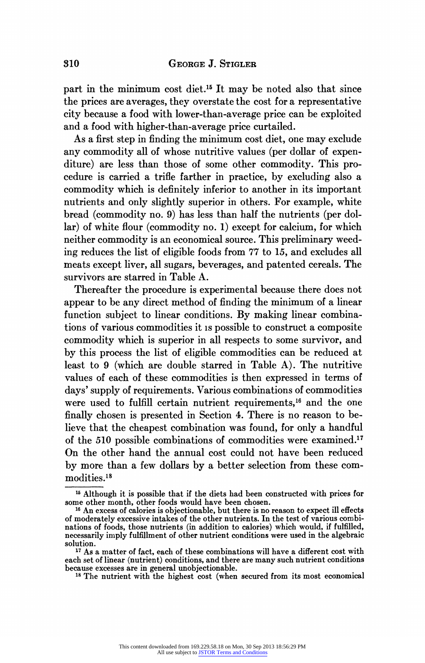**part in the minimum cost diet.15 It may be noted also that since the prices are averages, they overstate the cost for a representative city because a food with lower-than-average price can be exploited and a food with higher-than-average price curtailed.** 

**As a first step in finding the minimum cost diet, one may exclude any commodity all of whose nutritive values (per dollar of expenditure) are less than those of some other commodity. This procedure is carried a trifle farther in practice, by excluding also a commodity which is definitely inferior to another in its important nutrients and only slightly superior in others. For example, white bread (commodity no. 9) has less than half the nutrients (per dollar) of white flour (commodity no. 1) except for calcium, for which neither commodity is an economical source. This preliminary weeding reduces the list of eligible foods from 77 to 15, and excludes all meats except liver, all sugars, beverages, and patented cereals. The survivors are starred in Table A.** 

**Thereafter the procedure is experimental because there does not appear to be any direct method of finding the minimum of a linear function subject to linear conditions. By making linear combinations of various commodities it is possible to construct a composite commodity which is superior in all respects to some survivor, and by this process the list of eligible commodities can be reduced at least to 9 (which are double starred in Table A). The nutritive values of each of these commodities is then expressed in terms of days' supply of requirements. Various combinations of commodities were used to fulfill certain nutrient requirements,16 and the one finally chosen is presented in Section 4. There is no reason to believe that the cheapest combination was found, for only a handful of the 510 possible combinations of commodities were examined.17 On the other hand the annual cost could not have been reduced by more than a few dollars by a better selection from these commodities.18** 

**<sup>16</sup>Although it is possible that if the diets had been constructed with prices for some other month, other foods would have been chosen.** 

**<sup>16</sup> An excess of calories is objectionable, but there is no reason to expect ill effects of moderately excessive intakes of the other nutrients. In the test of various combinations of foods, those nutrients (in addition to calories) which would, if fulfilled, necessarily imply fulfillment of other nutrient conditions were used in the algebraic solution.** 

**<sup>17</sup>As a matter of fact, each of these combinations will have a different cost with each set of linear (nutrient) conditions, and there are many such nutrient conditions** 

<sup>&</sup>lt;sup>18</sup> The nutrient with the highest cost (when secured from its most economical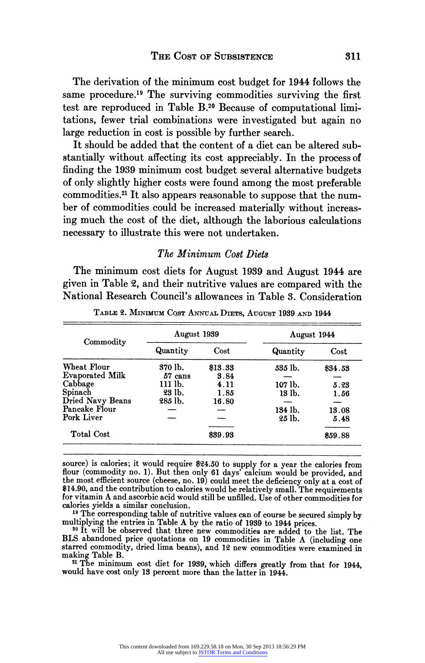**The derivation of the minimum cost budget for 1944 follows the same procedure.19 The surviving commodities surviving the first test are reproduced in Table B.20 Because of computational limitations, fewer trial combinations were investigated but again no large reduction in cost is possible by further search.** 

**It should be added that the content of a diet can be altered substantially without affecting its cost appreciably. In the process of finding the 1939 minimum cost budget several alternative budgets of only slightly higher costs were found among the most preferable commodities.21 It also appears reasonable to suppose that the number of commodities could be increased materially without increasing much the cost of the diet, although the laborious calculations necessary to illustrate this were not undertaken.** 

### **The Minimum Cost Diets**

**The minimum cost diets for August 1939 and August 1944 are given in Table 2, and their nutritive values are compared with the National Research Council's allowances in Table 3. Consideration** 

| Commodity        | August 1939 |         |          | August 1944 |  |
|------------------|-------------|---------|----------|-------------|--|
|                  | Quantity    | Cost    | Quantity | Cost        |  |
| Wheat Flour      | 370 lb.     | \$13.33 | 535 lb.  | \$34.53     |  |
| Evaporated Milk  | 57 cans     | 3.84    |          |             |  |
| Cabbage          | 111 lb.     | 4.11    | 107 lb.  | 5.23        |  |
| Spinach          | 23 lb.      | 1.85    | 13 lb.   | 1.56        |  |
| Dried Navy Beans | 285 lb.     | 16.80   |          |             |  |
| Pancake Flour    |             |         | 134 lb.  | 13.08       |  |
| Pork Liver       |             |         | 25 lb.   | 5.48        |  |
| Total Cost       |             | \$39.93 |          | 859.88      |  |

**TABLE 2. MINIMUM COST ANNUAL DIETS, AUGUST 1939 AND 1944** 

**source) is calories; it would require \$24.50 to supply for a year the calories from flour (commodity no. 1). But then only 61 days' calcium would be provided, and the most efficient source (cheese, no. 19) could meet the deficiency only at a cost of \$14.90, and the contribution to calories would be relatively small. The requirements for vitamin A and ascorbic acid would still be unfilled. Use of other commodities for calories yields a similar conclusion. 19 The corresponding table of nutritive values can of course be secured simply by** 

multiplying the entries in Table A by the ratio of 1989 to 1944 prices.<br>
<sup>20</sup><sub>2</sub>It will be observed that three new commodities are added to the list. The

**BLS abandoned price quotations on 19 commodities in Table A (including one starred commodity, dried lima beans), and 12 new commodities were examined in making Table B.** 

**<sup>21</sup>The minimum cost diet for 1989, which differs greatly from that for 1944, would have cost only 13 percent more than the latter in 1944.**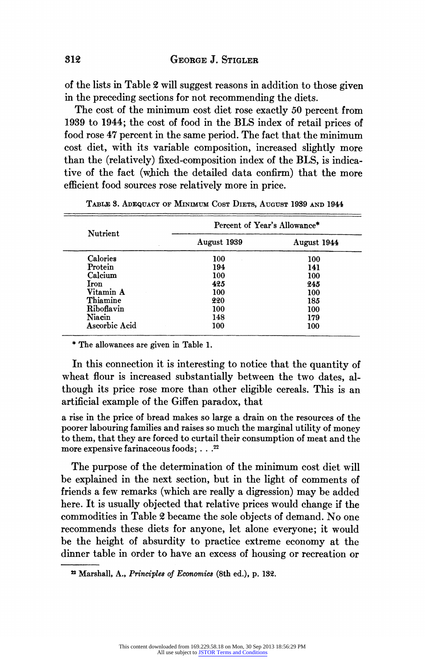**of the lists in Table 2 will suggest reasons in addition to those given in the preceding sections for not recommending the diets.** 

**The cost of the minimum cost diet rose exactly 50 percent from 1939 to 1944; the cost of food in the BLS index of retail prices of food rose 47 percent in the same period. The fact that the minimum cost diet, with its variable composition, increased slightly more than the (relatively) fixed-composition index of the BLS, is indicative of the fact (which the detailed data confirm) that the more efficient food sources rose relatively more in price.** 

|               | Percent of Year's Allowance* |             |  |
|---------------|------------------------------|-------------|--|
| Nutrient      | August 1939                  | August 1944 |  |
| Calories      | 100                          | 100         |  |
| Protein       | 194                          | 141         |  |
| Calcium       | 100                          | 100         |  |
| Iron          | 425                          | 245         |  |
| Vitamin A     | 100                          | 100         |  |
| Thiamine      | 220                          | 185         |  |
| Riboflavin    | 100                          | 100         |  |
| Niacin        | 148                          | 179         |  |
| Ascorbic Acid | 100                          | 100         |  |

**TABLES .ADEQUACY OF MINIMUM COST DIETS, AUGUST 1939 AND 1944** 

**\* The allowances are given in Table 1.** 

**In this connection it is interesting to notice that the quantity of wheat flour is increased substantially between the two dates, although its price rose more than other eligible cereals. This is an artificial example of the Giffen paradox, that** 

**a rise in the price of bread makes so large a drain on the resources of the poorer labouring families and raises so much the marginal utility of money to them, that they are forced to curtail their consumption of meat and the more expensive farinaceous foods; .. .22** 

**The purpose of the determination of the minimum cost diet will be explained in the next section, but in the light of comments of friends a few remarks (which are really a digression) may be added here. It is usually objected that relative prices would change if the commodities in Table 2 became the sole objects of demand. No one recommends these diets for anyone, let alone everyone; it would be the height of absurdity to practice extreme economy at the dinner table in order to have an excess of housing or recreation or** 

**<sup>22</sup> Marshall, A., Principles of Economics (8th ed.), p. 132.**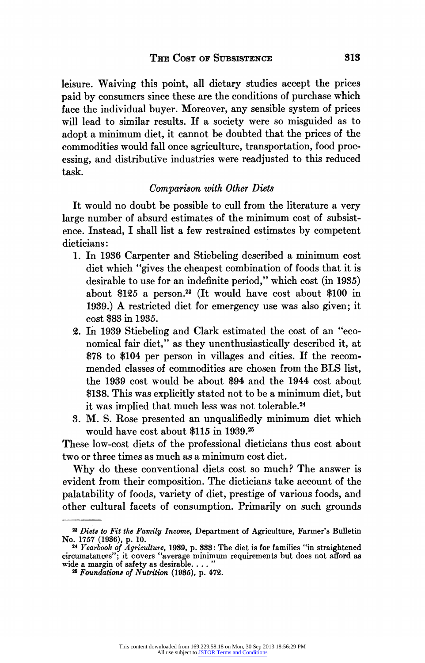**leisure. Waiving this point, all dietary studies accept the prices paid by consumers since these are the conditions of purchase which face the individual buyer. Moreover, any sensible system of prices will lead to similar results. If a society were so misguided as to adopt a minimum diet, it cannot be doubted that the prices of the commodities would fall once agriculture, transportation, food processing, and distributive industries were readjusted to this reduced task.** 

#### **Comparison with Other Diets**

**It would no doubt be possible to cull from the literature a very large number of absurd estimates of the minimum cost of subsistence. Instead, I shall list a few restrained estimates by competent dieticians:** 

- **1. In 1936 Carpenter and Stiebeling described a minimum cost diet which "gives the cheapest combination of foods that it is desirable to use for an indefinite period," which cost (in 1935) about \$125 a person.23 (It would have cost about \$100 in 1939.) A restricted diet for emergency use was also given; it cost \$83 in 1935.**
- **2. In 1939 Stiebeling and Clark estimated the cost of an "economical fair diet," as they unenthusiastically described it, at \$78 to \$104 per person in villages and cities. If the recommended classes of commodities are chosen from the BLS list, the 1939 cost would be about \$94 and the 1944 cost about \$138. This was explicitly stated not to be a minimum diet, but it was implied that much less was not tolerable.24**
- **3. M. S. Rose presented an unqualifiedly minimum diet which would have cost about \$115 in 1939.25**

**These low-cost diets of the professional dieticians thus cost about two or three times as much as a minimum cost diet.** 

**Why do these conventional diets cost so much? The answer is evident from their composition. The dieticians take account of the palatability of foods, variety of diet, prestige of various foods, and other cultural facets of consumption. Primarily on such grounds** 

**<sup>23</sup>Diets to Fit the Family Income, Department of Agriculture, Farmer's Bulletin** 

**No. 1757 (1936), p. 10. <sup>24</sup>Yearbook of Agriculture, 1939, p. 833: The diet is for families "in straightened circumstances"; it covers "average minimum requirements but does not afford as wide a margin of safety as desirable.... "** 

**<sup>2</sup>Foundations of Nutrition (1935), p. 472.**